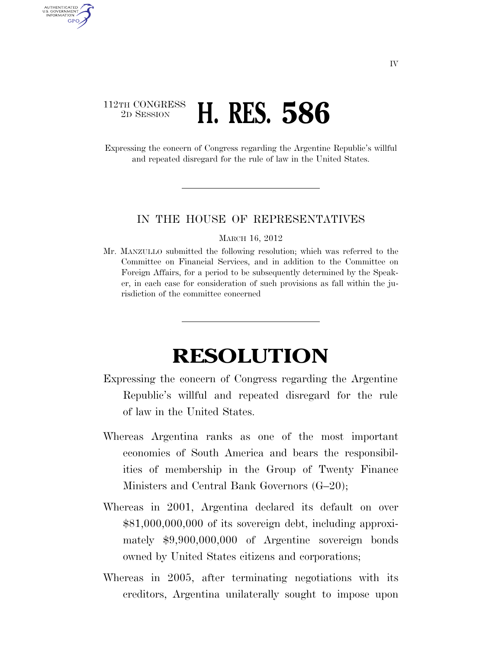## 112TH CONGRESS <sup>2D SESSION</sup> **H. RES. 586**

AUTHENTICATED U.S. GOVERNMENT **GPO** 

> Expressing the concern of Congress regarding the Argentine Republic's willful and repeated disregard for the rule of law in the United States.

## IN THE HOUSE OF REPRESENTATIVES

MARCH 16, 2012

Mr. MANZULLO submitted the following resolution; which was referred to the Committee on Financial Services, and in addition to the Committee on Foreign Affairs, for a period to be subsequently determined by the Speaker, in each case for consideration of such provisions as fall within the jurisdiction of the committee concerned

## **RESOLUTION**

- Expressing the concern of Congress regarding the Argentine Republic's willful and repeated disregard for the rule of law in the United States.
- Whereas Argentina ranks as one of the most important economies of South America and bears the responsibilities of membership in the Group of Twenty Finance Ministers and Central Bank Governors (G–20);
- Whereas in 2001, Argentina declared its default on over \$81,000,000,000 of its sovereign debt, including approximately \$9,900,000,000 of Argentine sovereign bonds owned by United States citizens and corporations;
- Whereas in 2005, after terminating negotiations with its creditors, Argentina unilaterally sought to impose upon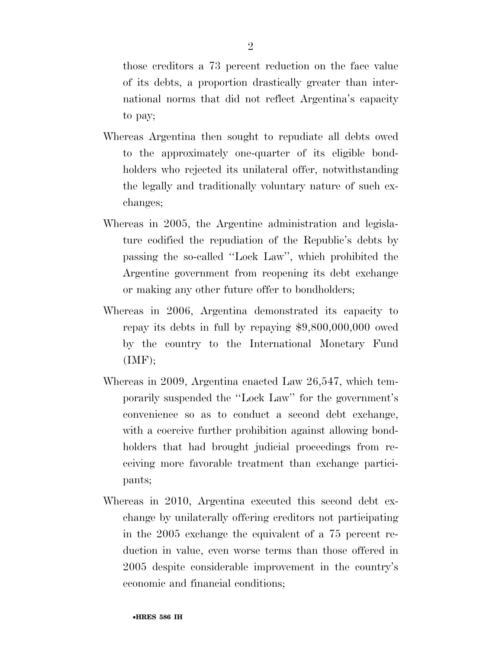those creditors a 73 percent reduction on the face value of its debts, a proportion drastically greater than international norms that did not reflect Argentina's capacity to pay;

- Whereas Argentina then sought to repudiate all debts owed to the approximately one-quarter of its eligible bondholders who rejected its unilateral offer, notwithstanding the legally and traditionally voluntary nature of such exchanges;
- Whereas in 2005, the Argentine administration and legislature codified the repudiation of the Republic's debts by passing the so-called ''Lock Law'', which prohibited the Argentine government from reopening its debt exchange or making any other future offer to bondholders;
- Whereas in 2006, Argentina demonstrated its capacity to repay its debts in full by repaying \$9,800,000,000 owed by the country to the International Monetary Fund  $(MF);$
- Whereas in 2009, Argentina enacted Law 26,547, which temporarily suspended the ''Lock Law'' for the government's convenience so as to conduct a second debt exchange, with a coercive further prohibition against allowing bondholders that had brought judicial proceedings from receiving more favorable treatment than exchange participants;
- Whereas in 2010, Argentina executed this second debt exchange by unilaterally offering creditors not participating in the 2005 exchange the equivalent of a 75 percent reduction in value, even worse terms than those offered in 2005 despite considerable improvement in the country's economic and financial conditions;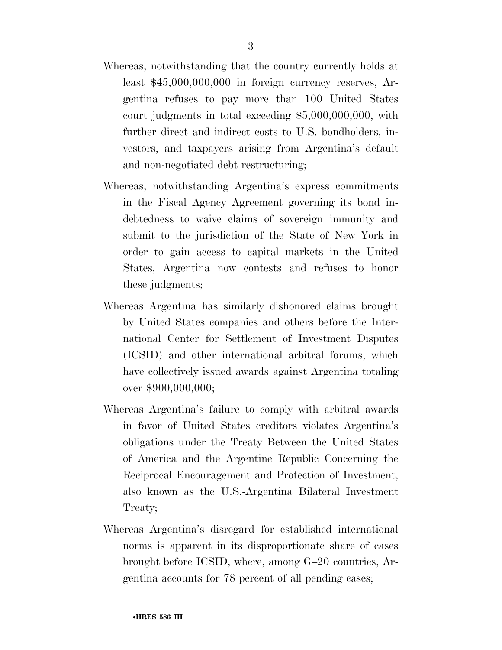- Whereas, notwithstanding that the country currently holds at least \$45,000,000,000 in foreign currency reserves, Argentina refuses to pay more than 100 United States court judgments in total exceeding \$5,000,000,000, with further direct and indirect costs to U.S. bondholders, investors, and taxpayers arising from Argentina's default and non-negotiated debt restructuring;
- Whereas, notwithstanding Argentina's express commitments in the Fiscal Agency Agreement governing its bond indebtedness to waive claims of sovereign immunity and submit to the jurisdiction of the State of New York in order to gain access to capital markets in the United States, Argentina now contests and refuses to honor these judgments;
- Whereas Argentina has similarly dishonored claims brought by United States companies and others before the International Center for Settlement of Investment Disputes (ICSID) and other international arbitral forums, which have collectively issued awards against Argentina totaling over \$900,000,000;
- Whereas Argentina's failure to comply with arbitral awards in favor of United States creditors violates Argentina's obligations under the Treaty Between the United States of America and the Argentine Republic Concerning the Reciprocal Encouragement and Protection of Investment, also known as the U.S.-Argentina Bilateral Investment Treaty;
- Whereas Argentina's disregard for established international norms is apparent in its disproportionate share of cases brought before ICSID, where, among G–20 countries, Argentina accounts for 78 percent of all pending cases;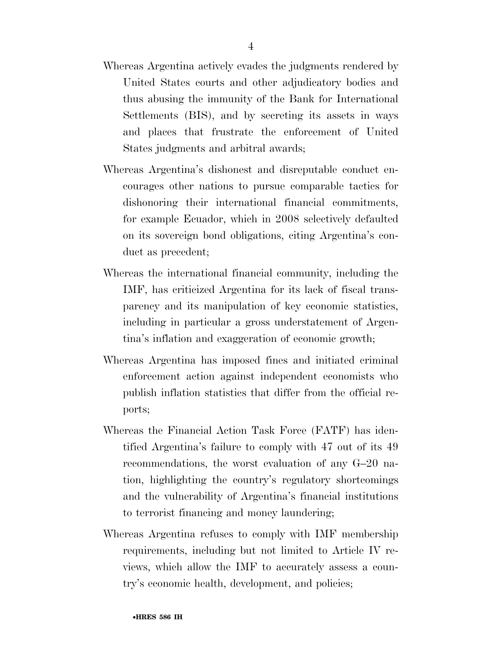- Whereas Argentina actively evades the judgments rendered by United States courts and other adjudicatory bodies and thus abusing the immunity of the Bank for International Settlements (BIS), and by secreting its assets in ways and places that frustrate the enforcement of United States judgments and arbitral awards;
- Whereas Argentina's dishonest and disreputable conduct encourages other nations to pursue comparable tactics for dishonoring their international financial commitments, for example Ecuador, which in 2008 selectively defaulted on its sovereign bond obligations, citing Argentina's conduct as precedent;
- Whereas the international financial community, including the IMF, has criticized Argentina for its lack of fiscal transparency and its manipulation of key economic statistics, including in particular a gross understatement of Argentina's inflation and exaggeration of economic growth;
- Whereas Argentina has imposed fines and initiated criminal enforcement action against independent economists who publish inflation statistics that differ from the official reports;
- Whereas the Financial Action Task Force (FATF) has identified Argentina's failure to comply with 47 out of its 49 recommendations, the worst evaluation of any G–20 nation, highlighting the country's regulatory shortcomings and the vulnerability of Argentina's financial institutions to terrorist financing and money laundering;
- Whereas Argentina refuses to comply with IMF membership requirements, including but not limited to Article IV reviews, which allow the IMF to accurately assess a country's economic health, development, and policies;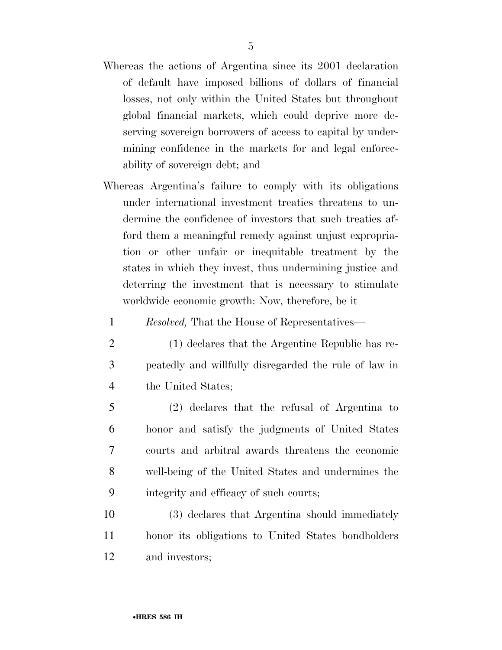- Whereas the actions of Argentina since its 2001 declaration of default have imposed billions of dollars of financial losses, not only within the United States but throughout global financial markets, which could deprive more deserving sovereign borrowers of access to capital by undermining confidence in the markets for and legal enforceability of sovereign debt; and
- Whereas Argentina's failure to comply with its obligations under international investment treaties threatens to undermine the confidence of investors that such treaties afford them a meaningful remedy against unjust expropriation or other unfair or inequitable treatment by the states in which they invest, thus undermining justice and deterring the investment that is necessary to stimulate worldwide economic growth: Now, therefore, be it
	- 1 *Resolved,* That the House of Representatives—
	- 2 (1) declares that the Argentine Republic has re-3 peatedly and willfully disregarded the rule of law in 4 the United States;
- 5 (2) declares that the refusal of Argentina to 6 honor and satisfy the judgments of United States 7 courts and arbitral awards threatens the economic 8 well-being of the United States and undermines the 9 integrity and efficacy of such courts;
- 10 (3) declares that Argentina should immediately 11 honor its obligations to United States bondholders 12 and investors;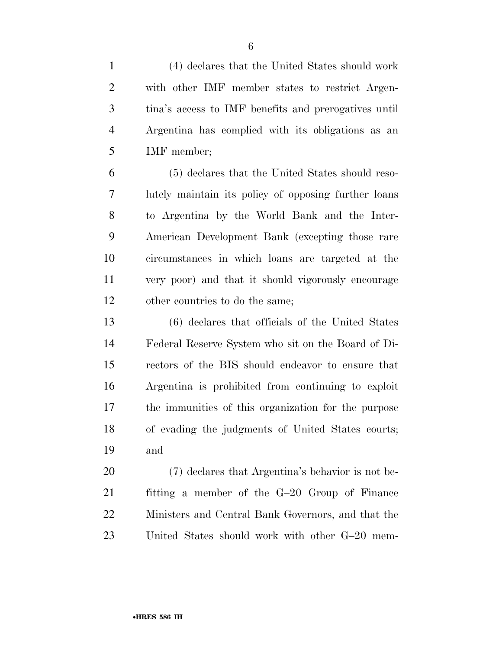(4) declares that the United States should work with other IMF member states to restrict Argen- tina's access to IMF benefits and prerogatives until Argentina has complied with its obligations as an IMF member;

 (5) declares that the United States should reso- lutely maintain its policy of opposing further loans to Argentina by the World Bank and the Inter- American Development Bank (excepting those rare circumstances in which loans are targeted at the very poor) and that it should vigorously encourage other countries to do the same;

 (6) declares that officials of the United States Federal Reserve System who sit on the Board of Di- rectors of the BIS should endeavor to ensure that Argentina is prohibited from continuing to exploit the immunities of this organization for the purpose of evading the judgments of United States courts; and

 (7) declares that Argentina's behavior is not be- fitting a member of the G–20 Group of Finance Ministers and Central Bank Governors, and that the United States should work with other G–20 mem-